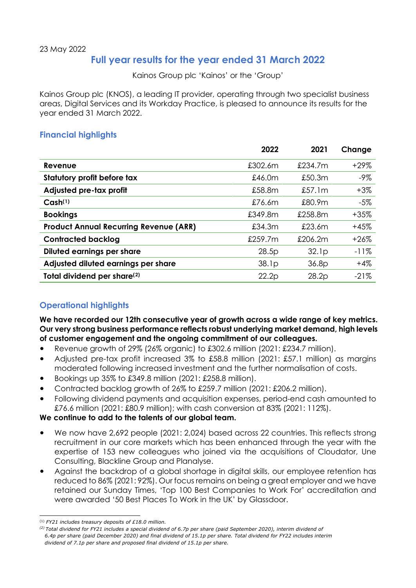# **Full year results for the year ended 31 March 2022**

Kainos Group plc 'Kainos' or the 'Group'

Kainos Group plc (KNOS), a leading IT provider, operating through two specialist business areas, Digital Services and its Workday Practice, is pleased to announce its results for the year ended 31 March 2022.

# **Financial highlights**

|                                               | 2022    | 2021              | Change  |
|-----------------------------------------------|---------|-------------------|---------|
| Revenue                                       | £302.6m | £234.7m           | $+29\%$ |
| Statutory profit before tax                   | £46.0m  | £50.3m            | $-9\%$  |
| Adjusted pre-tax profit                       | £58.8m  | £57.1m            | $+3\%$  |
| Cash <sup>(1)</sup>                           | £76.6m  | £80.9m            | $-5\%$  |
| <b>Bookings</b>                               | £349.8m | £258.8m           | $+35%$  |
| <b>Product Annual Recurring Revenue (ARR)</b> | £34.3m  | £23.6m            | $+45%$  |
| <b>Contracted backlog</b>                     | £259.7m | £206.2m           | $+26%$  |
| Diluted earnings per share                    | 28.5p   | 32.lp             | $-11%$  |
| Adjusted diluted earnings per share           | 38.1p   | 36.8 <sub>D</sub> | $+4%$   |
| Total dividend per share <sup>(2)</sup>       | 22.2p   | 28.2p             | $-21%$  |

# **Operational highlights**

We have recorded our 12th consecutive year of growth across a wide range of key metrics. **Our very strong business performance reflects robust underlying market demand, high levels of customer engagement and the ongoing commitment of our colleagues.** 

- Revenue growth of  $29\%$  (26% organic) to £302.6 million (2021: £234.7 million).
- Adjusted pre-tax profit increased 3% to £58.8 million (2021: £57.1 million) as margins moderated following increased investment and the further normalisation of costs.
- Bookings up 35% to £349.8 million (2021: £258.8 million).
- Contracted backlog growth of 26% to £259.7 million (2021: £206.2 million).
- Following dividend payments and acquisition expenses, period-end cash amounted to £76.6 million (2021: £80.9 million); with cash conversion at 83% (2021: 112%).

# **We continue to add to the talents of our global team.**

- We now have 2,692 people (2021: 2,024) based across 22 countries. This reflects strong recruitment in our core markets which has been enhanced through the year with the expertise of 153 new colleagues who joined via the acquisitions of Cloudator, Une Consulting, Blackline Group and Planalyse.
- Against the backdrop of a global shortage in digital skills, our employee retention has reduced to 86% (2021: 92%). Our focus remains on being a great employer and we have retained our Sunday Times, 'Top 100 Best Companies to Work For' accreditation and were awarded '50 Best Places To Work in the UK' by Glassdoor.

<sup>(1)</sup> *FY21 includes treasury deposits of £18.0 million.*

<span id="page-0-1"></span><span id="page-0-0"></span>*<sup>(2)</sup> Total dividend for FY21 includes a special dividend of 6.7p per share (paid September 2020), interim dividend of 6.4p per share (paid December 2020) and final dividend of 15.1p per share. Total dividend for FY22 includes interim dividend of 7.1p per share and proposed final dividend of 15.1p per share.*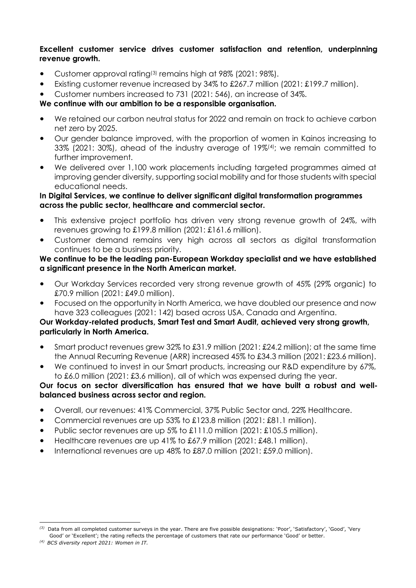#### **Excellent customer service drives customer satisfaction and retention, underpinning revenue growth.**

- Customer approval rating([3](#page-1-0)) remains high at 98% (2021: 98%).
- Existing customer revenue increased by 34% to £267.7 million (2021: £199.7 million).
- Customer numbers increased to 731 (2021: 546), an increase of 34%.

# **We continue with our ambition to be a responsible organisation.**

- We retained our carbon neutral status for 2022 and remain on track to achieve carbon net zero by 2025.
- Our gender balance improved, with the proportion of women in Kainos increasing to 33% (2021: 30%), ahead of the industry average of 19%([4](#page-1-1)) ; we remain committed to further improvement.
- We delivered over 1,100 work placements including targeted programmes aimed at improving gender diversity, supporting social mobility and for those students with special educational needs.

#### **In Digital Services, we continue to deliver significant digital transformation programmes across the public sector, healthcare and commercial sector.**

- This extensive project portfolio has driven very strong revenue growth of 24%, with revenues growing to £199.8 million (2021: £161.6 million).
- Customer demand remains very high across all sectors as digital transformation continues to be a business priority.

#### **We continue to be the leading pan-European Workday specialist and we have established a significant presence in the North American market.**

- Our Workday Services recorded very strong revenue growth of 45% (29% organic) to £70.9 million (2021: £49.0 million).
- Focused on the opportunity in North America, we have doubled our presence and now have 323 colleagues (2021: 142) based across USA, Canada and Argentina.

# **Our Workday-related products, Smart Test and Smart Audit, achieved very strong growth, particularly in North America.**

- Smart product revenues grew 32% to £31.9 million (2021: £24.2 million); at the same time the Annual Recurring Revenue (ARR) increased 45% to £34.3 million (2021: £23.6 million).
- We continued to invest in our Smart products, increasing our R&D expenditure by 67%, to £6.0 million (2021: £3.6 million), all of which was expensed during the year.

## **Our focus on sector diversification has ensured that we have built a robust and wellbalanced business across sector and region.**

- Overall, our revenues: 41% Commercial, 37% Public Sector and, 22% Healthcare.
- Commercial revenues are up 53% to £123.8 million (2021: £81.1 million).
- Public sector revenues are up 5% to £111.0 million (2021: £105.5 million).
- Healthcare revenues are up 41% to £67.9 million (2021: £48.1 million).
- International revenues are up 48% to £87.0 million (2021: £59.0 million).

<span id="page-1-0"></span>*<sup>(3)</sup>* Data from all completed customer surveys in the year. There are five possible designations: 'Poor', 'Satisfactory', 'Good', 'Very Good' or 'Excellent'; the rating reflects the percentage of customers that rate our performance 'Good' or better.

<span id="page-1-1"></span>*<sup>(4)</sup> BCS diversity report 2021: Women in IT.*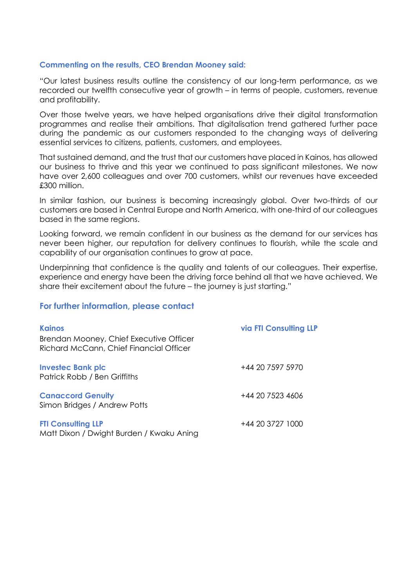#### **Commenting on the results, CEO Brendan Mooney said:**

"Our latest business results outline the consistency of our long-term performance, as we recorded our twelfth consecutive year of growth – in terms of people, customers, revenue and profitability.

Over those twelve years, we have helped organisations drive their digital transformation programmes and realise their ambitions. That digitalisation trend gathered further pace during the pandemic as our customers responded to the changing ways of delivering essential services to citizens, patients, customers, and employees.

That sustained demand, and the trust that our customers have placed in Kainos, has allowed our business to thrive and this year we continued to pass significant milestones. We now have over 2,600 colleagues and over 700 customers, whilst our revenues have exceeded £300 million.

In similar fashion, our business is becoming increasingly global. Over two-thirds of our customers are based in Central Europe and North America, with one-third of our colleagues based in the same regions.

Looking forward, we remain confident in our business as the demand for our services has never been higher, our reputation for delivery continues to flourish, while the scale and capability of our organisation continues to grow at pace.

Underpinning that confidence is the quality and talents of our colleagues. Their expertise, experience and energy have been the driving force behind all that we have achieved. We share their excitement about the future – the journey is just starting."

#### **For further information, please contact**

| <b>Kainos</b>                                                                      | <b>via FTI Consulting LLP</b> |
|------------------------------------------------------------------------------------|-------------------------------|
| Brendan Mooney, Chief Executive Officer<br>Richard McCann, Chief Financial Officer |                               |
| <b>Investec Bank plc</b><br>Patrick Robb / Ben Griffiths                           | +44 20 7597 5970              |
| <b>Canaccord Genuity</b><br>Simon Bridges / Andrew Potts                           | +44 20 7523 4606              |
| <b>FTI Consulting LLP</b><br>Matt Dixon / Dwight Burden / Kwaku Aning              | +44 20 3727 1000              |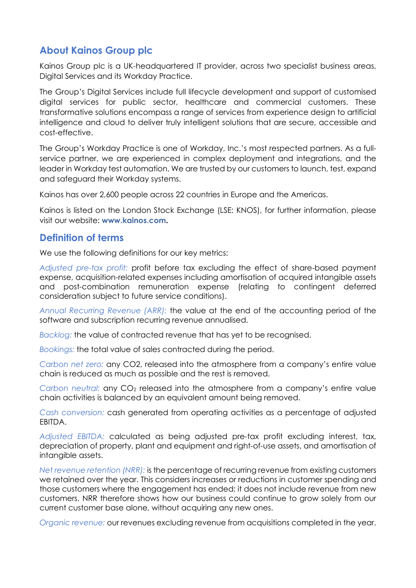# **About Kainos Group plc**

Kainos Group plc is a UK-headquartered IT provider, across two specialist business areas, Digital Services and its Workday Practice.

The Group's Digital Services include full lifecycle development and support of customised digital services for public sector, healthcare and commercial customers. These transformative solutions encompass a range of services from experience design to artificial intelligence and cloud to deliver truly intelligent solutions that are secure, accessible and cost-effective.

The Group's Workday Practice is one of Workday, Inc.'s most respected partners. As a fullservice partner, we are experienced in complex deployment and integrations, and the leader in Workday test automation. We are trusted by our customers to launch, test, expand and safeguard their Workday systems.

Kainos has over 2,600 people across 22 countries in Europe and the Americas.

Kainos is listed on the London Stock Exchange (LSE: KNOS), for further information, please visit our website: **[www.kainos.com.](http://www.kainos.com/)**

# **Definition of terms**

We use the following definitions for our key metrics:

*Adjusted pre-tax profit:* profit before tax excluding the effect of share-based payment expense, acquisition-related expenses including amortisation of acquired intangible assets and post-combination remuneration expense (relating to contingent deferred consideration subject to future service conditions).

*Annual Recurring Revenue (ARR):* the value at the end of the accounting period of the software and subscription recurring revenue annualised.

*Backlog:* the value of contracted revenue that has yet to be recognised.

*Bookings:* the total value of sales contracted during the period.

*Carbon net zero:* any CO2, released into the atmosphere from a company's entire value chain is reduced as much as possible and the rest is removed.

*Carbon neutral:* any CO<sub>2</sub> released into the atmosphere from a company's entire value chain activities is balanced by an equivalent amount being removed.

*Cash conversion:* cash generated from operating activities as a percentage of adjusted EBITDA.

*Adjusted EBITDA:* calculated as being adjusted pre-tax profit excluding interest, tax, depreciation of property, plant and equipment and right-of-use assets, and amortisation of intangible assets.

*Net revenue retention (NRR):* is the percentage of recurring revenue from existing customers we retained over the year. This considers increases or reductions in customer spending and those customers where the engagement has ended; it does not include revenue from new customers. NRR therefore shows how our business could continue to grow solely from our current customer base alone, without acquiring any new ones.

*Organic revenue:* our revenues excluding revenue from acquisitions completed in the year.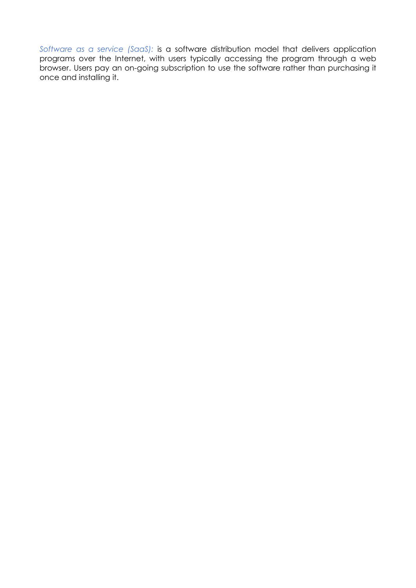*Software as a service (SaaS):* is a software distribution model that delivers application programs over the Internet, with users typically accessing the program through a web browser. Users pay an on-going subscription to use the software rather than purchasing it once and installing it.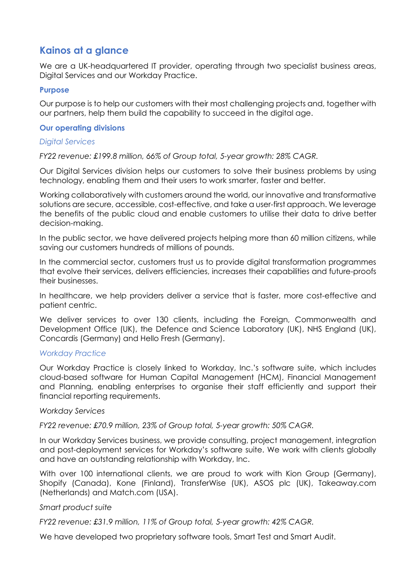# **Kainos at a glance**

We are a UK-headquartered IT provider, operating through two specialist business areas, Digital Services and our Workday Practice.

#### **Purpose**

Our purpose is to help our customers with their most challenging projects and, together with our partners, help them build the capability to succeed in the digital age.

#### **Our operating divisions**

#### *Digital Services*

*FY22 revenue: £199.8 million, 66% of Group total, 5-year growth: 28% CAGR.*

Our Digital Services division helps our customers to solve their business problems by using technology, enabling them and their users to work smarter, faster and better.

Working collaboratively with customers around the world, our innovative and transformative solutions are secure, accessible, cost-effective, and take a user-first approach. We leverage the benefits of the public cloud and enable customers to utilise their data to drive better decision-making.

In the public sector, we have delivered projects helping more than 60 million citizens, while saving our customers hundreds of millions of pounds.

In the commercial sector, customers trust us to provide digital transformation programmes that evolve their services, delivers efficiencies, increases their capabilities and future-proofs their businesses.

In healthcare, we help providers deliver a service that is faster, more cost-effective and patient centric.

We deliver services to over 130 clients, including the Foreign, Commonwealth and Development Office (UK), the Defence and Science Laboratory (UK), NHS England (UK), Concardis (Germany) and Hello Fresh (Germany).

## *Workday Practice*

Our Workday Practice is closely linked to Workday, Inc.'s software suite, which includes cloud-based software for Human Capital Management (HCM), Financial Management and Planning, enabling enterprises to organise their staff efficiently and support their financial reporting requirements.

#### *Workday Services*

*FY22 revenue: £70.9 million, 23% of Group total, 5-year growth: 50% CAGR.*

In our Workday Services business, we provide consulting, project management, integration and post-deployment services for Workday's software suite. We work with clients globally and have an outstanding relationship with Workday, Inc.

With over 100 international clients, we are proud to work with Kion Group (Germany), Shopify (Canada), Kone (Finland), TransferWise (UK), ASOS plc (UK), Takeaway.com (Netherlands) and Match.com (USA).

#### *Smart product suite*

*FY22 revenue: £31.9 million, 11% of Group total, 5-year growth: 42% CAGR.*

We have developed two proprietary software tools, Smart Test and Smart Audit.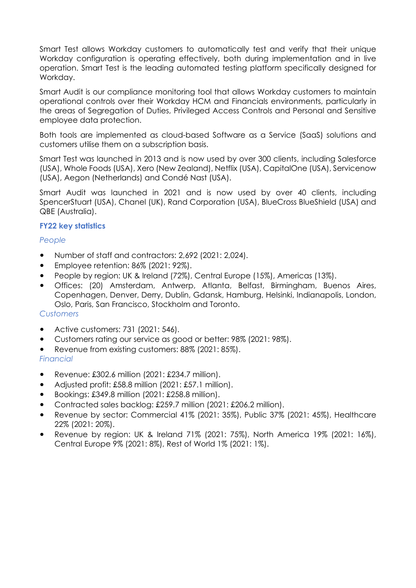Smart Test allows Workday customers to automatically test and verify that their unique Workday configuration is operating effectively, both during implementation and in live operation. Smart Test is the leading automated testing platform specifically designed for Workday.

Smart Audit is our compliance monitoring tool that allows Workday customers to maintain operational controls over their Workday HCM and Financials environments, particularly in the areas of Segregation of Duties, Privileged Access Controls and Personal and Sensitive employee data protection.

Both tools are implemented as cloud-based Software as a Service (SaaS) solutions and customers utilise them on a subscription basis.

Smart Test was launched in 2013 and is now used by over 300 clients, including Salesforce (USA), Whole Foods (USA), Xero (New Zealand), Netflix (USA), CapitalOne (USA), Servicenow (USA), Aegon (Netherlands) and Condé Nast (USA).

Smart Audit was launched in 2021 and is now used by over 40 clients, including SpencerStuart (USA), Chanel (UK), Rand Corporation (USA), BlueCross BlueShield (USA) and QBE (Australia).

## **FY22 key statistics**

# *People*

- Number of staff and contractors: 2,692 (2021: 2,024).
- Employee retention: 86% (2021: 92%).
- People by region: UK & Ireland (72%), Central Europe (15%), Americas (13%).
- Offices: (20) Amsterdam, Antwerp, Atlanta, Belfast, Birmingham, Buenos Aires, Copenhagen, Denver, Derry, Dublin, Gdansk, Hamburg, Helsinki, Indianapolis, London, Oslo, Paris, San Francisco, Stockholm and Toronto.

## *Customers*

- Active customers: 731 (2021: 546).
- Customers rating our service as good or better: 98% (2021: 98%).
- Revenue from existing customers: 88% (2021: 85%).

## *Financial*

- Revenue: £302.6 million (2021: £234.7 million).
- Adjusted profit: £58.8 million (2021: £57.1 million).
- Bookings: £349.8 million (2021: £258.8 million).
- Contracted sales backlog: £259.7 million (2021: £206.2 million).
- Revenue by sector: Commercial 41% (2021: 35%), Public 37% (2021: 45%), Healthcare 22% (2021: 20%).
- Revenue by region: UK & Ireland 71% (2021: 75%), North America 19% (2021: 16%), Central Europe 9% (2021: 8%), Rest of World 1% (2021: 1%).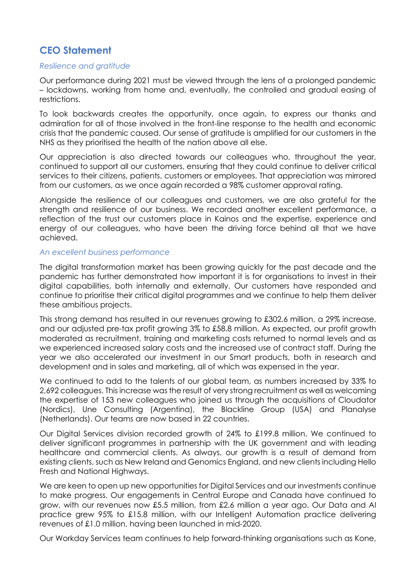# **CEO Statement**

#### *Resilience and gratitude*

Our performance during 2021 must be viewed through the lens of a prolonged pandemic – lockdowns, working from home and, eventually, the controlled and gradual easing of restrictions.

To look backwards creates the opportunity, once again, to express our thanks and admiration for all of those involved in the front-line response to the health and economic crisis that the pandemic caused. Our sense of gratitude is amplified for our customers in the NHS as they prioritised the health of the nation above all else.

Our appreciation is also directed towards our colleagues who, throughout the year, continued to support all our customers, ensuring that they could continue to deliver critical services to their citizens, patients, customers or employees. That appreciation was mirrored from our customers, as we once again recorded a 98% customer approval rating.

Alongside the resilience of our colleagues and customers, we are also grateful for the strength and resilience of our business. We recorded another excellent performance, a reflection of the trust our customers place in Kainos and the expertise, experience and energy of our colleagues, who have been the driving force behind all that we have achieved.

#### *An excellent business performance*

The digital transformation market has been growing quickly for the past decade and the pandemic has further demonstrated how important it is for organisations to invest in their digital capabilities, both internally and externally. Our customers have responded and continue to prioritise their critical digital programmes and we continue to help them deliver these ambitious projects.

This strong demand has resulted in our revenues growing to £302.6 million, a 29% increase, and our adjusted pre-tax profit growing 3% to £58.8 million. As expected, our profit growth moderated as recruitment, training and marketing costs returned to normal levels and as we experienced increased salary costs and the increased use of contract staff. During the year we also accelerated our investment in our Smart products, both in research and development and in sales and marketing, all of which was expensed in the year.

We continued to add to the talents of our global team, as numbers increased by 33% to 2,692 colleagues. This increase was the result of very strong recruitment as well as welcoming the expertise of 153 new colleagues who joined us through the acquisitions of Cloudator (Nordics), Une Consulting (Argentina), the Blackline Group (USA) and Planalyse (Netherlands). Our teams are now based in 22 countries.

Our Digital Services division recorded growth of 24% to £199.8 million. We continued to deliver significant programmes in partnership with the UK government and with leading healthcare and commercial clients. As always, our growth is a result of demand from existing clients, such as New Ireland and Genomics England, and new clients including Hello Fresh and National Highways.

We are keen to open up new opportunities for Digital Services and our investments continue to make progress. Our engagements in Central Europe and Canada have continued to grow, with our revenues now £5.5 million, from £2.6 million a year ago. Our Data and AI practice grew 95% to £15.8 million, with our Intelligent Automation practice delivering revenues of £1.0 million, having been launched in mid-2020.

Our Workday Services team continues to help forward-thinking organisations such as Kone,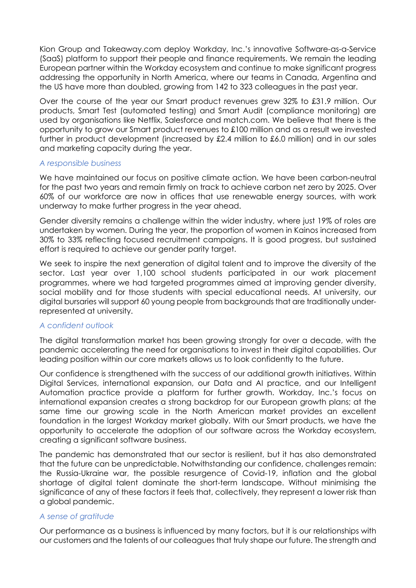Kion Group and Takeaway.com deploy Workday, Inc.'s innovative Software-as-a-Service (SaaS) platform to support their people and finance requirements. We remain the leading European partner within the Workday ecosystem and continue to make significant progress addressing the opportunity in North America, where our teams in Canada, Argentina and the US have more than doubled, growing from 142 to 323 colleagues in the past year.

Over the course of the year our Smart product revenues grew 32% to £31.9 million. Our products, Smart Test (automated testing) and Smart Audit (compliance monitoring) are used by organisations like Netflix, Salesforce and match.com. We believe that there is the opportunity to grow our Smart product revenues to £100 million and as a result we invested further in product development (increased by £2.4 million to £6.0 million) and in our sales and marketing capacity during the year.

#### *A responsible business*

We have maintained our focus on positive climate action. We have been carbon-neutral for the past two years and remain firmly on track to achieve carbon net zero by 2025. Over 60% of our workforce are now in offices that use renewable energy sources, with work underway to make further progress in the year ahead.

Gender diversity remains a challenge within the wider industry, where just 19% of roles are undertaken by women. During the year, the proportion of women in Kainos increased from 30% to 33% reflecting focused recruitment campaigns. It is good progress, but sustained effort is required to achieve our gender parity target.

We seek to inspire the next generation of digital talent and to improve the diversity of the sector. Last year over 1,100 school students participated in our work placement programmes, where we had targeted programmes aimed at improving gender diversity, social mobility and for those students with special educational needs. At university, our digital bursaries will support 60 young people from backgrounds that are traditionally underrepresented at university.

#### *A confident outlook*

The digital transformation market has been growing strongly for over a decade, with the pandemic accelerating the need for organisations to invest in their digital capabilities. Our leading position within our core markets allows us to look confidently to the future.

Our confidence is strengthened with the success of our additional growth initiatives. Within Digital Services, international expansion, our Data and AI practice, and our Intelligent Automation practice provide a platform for further growth. Workday, Inc.'s focus on international expansion creates a strong backdrop for our European growth plans; at the same time our growing scale in the North American market provides an excellent foundation in the largest Workday market globally. With our Smart products, we have the opportunity to accelerate the adoption of our software across the Workday ecosystem, creating a significant software business.

The pandemic has demonstrated that our sector is resilient, but it has also demonstrated that the future can be unpredictable. Notwithstanding our confidence, challenges remain: the Russia-Ukraine war, the possible resurgence of Covid-19, inflation and the global shortage of digital talent dominate the short-term landscape. Without minimising the significance of any of these factors it feels that, collectively, they represent a lower risk than a global pandemic.

#### *A sense of gratitude*

Our performance as a business is influenced by many factors, but it is our relationships with our customers and the talents of our colleagues that truly shape our future. The strength and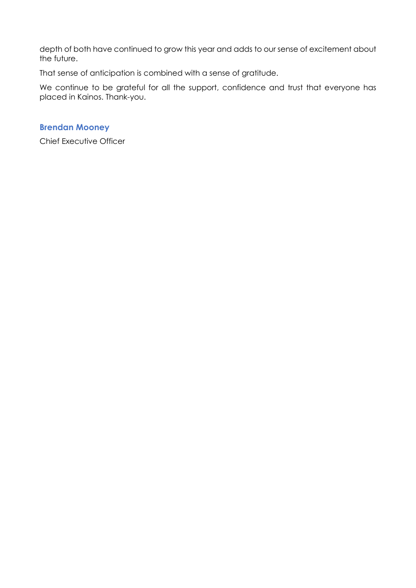depth of both have continued to grow this year and adds to our sense of excitement about the future.

That sense of anticipation is combined with a sense of gratitude.

We continue to be grateful for all the support, confidence and trust that everyone has placed in Kainos. Thank-you.

# **Brendan Mooney**

Chief Executive Officer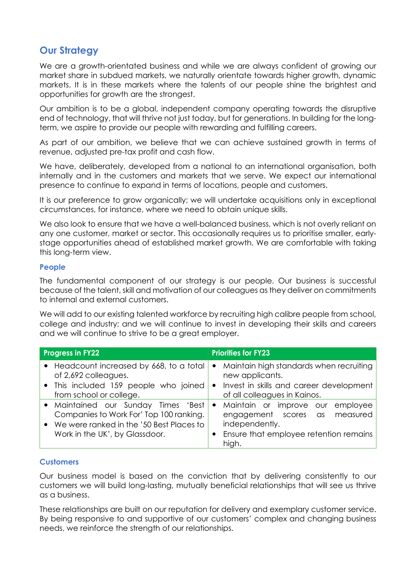# **Our Strategy**

We are a growth-orientated business and while we are always confident of growing our market share in subdued markets, we naturally orientate towards higher growth, dynamic markets. It is in these markets where the talents of our people shine the brightest and opportunities for growth are the strongest.

Our ambition is to be a global, independent company operating towards the disruptive end of technology, that will thrive not just today, but for generations. In building for the longterm, we aspire to provide our people with rewarding and fulfilling careers.

As part of our ambition, we believe that we can achieve sustained growth in terms of revenue, adjusted pre-tax profit and cash flow.

We have, deliberately, developed from a national to an international organisation, both internally and in the customers and markets that we serve. We expect our international presence to continue to expand in terms of locations, people and customers.

It is our preference to grow organically; we will undertake acquisitions only in exceptional circumstances, for instance, where we need to obtain unique skills.

We also look to ensure that we have a well-balanced business, which is not overly reliant on any one customer, market or sector. This occasionally requires us to prioritise smaller, earlystage opportunities ahead of established market growth. We are comfortable with taking this long-term view.

#### **People**

The fundamental component of our strategy is our people. Our business is successful because of the talent, skill and motivation of our colleagues as they deliver on commitments to internal and external customers.

We will add to our existing talented workforce by recruiting high calibre people from school, college and industry; and we will continue to invest in developing their skills and careers and we will continue to strive to be a great employer.

| <b>Progress in FY22</b> |                                                                  | <b>Priorities for FY23</b> |                                                                         |  |  |
|-------------------------|------------------------------------------------------------------|----------------------------|-------------------------------------------------------------------------|--|--|
|                         | • Headcount increased by 668, to a total<br>of 2,692 colleagues. | $\bullet$                  | Maintain high standards when recruiting<br>new applicants.              |  |  |
|                         | • This included 159 people who joined<br>from school or college. | $\bullet$                  | Invest in skills and career development<br>of all colleagues in Kainos. |  |  |
|                         | • Maintained our Sunday Times 'Best                              | $\bullet$                  | Maintain or improve our employee                                        |  |  |
|                         | Companies to Work For' Top 100 ranking.                          |                            | engagement scores as measured                                           |  |  |
|                         | We were ranked in the '50 Best Places to                         |                            | independently.                                                          |  |  |
|                         | Work in the UK', by Glassdoor.                                   |                            | Ensure that employee retention remains<br>high.                         |  |  |

## **Customers**

Our business model is based on the conviction that by delivering consistently to our customers we will build long-lasting, mutually beneficial relationships that will see us thrive as a business.

These relationships are built on our reputation for delivery and exemplary customer service. By being responsive to and supportive of our customers' complex and changing business needs, we reinforce the strength of our relationships.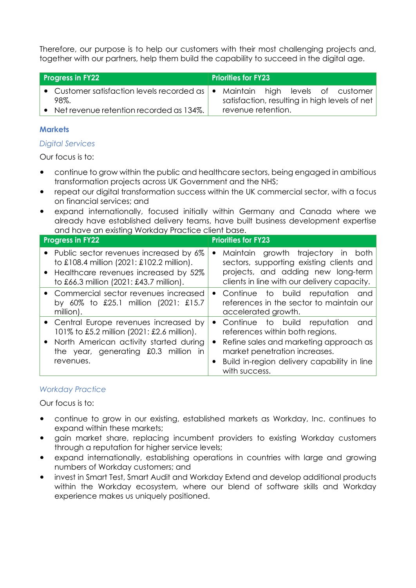Therefore, our purpose is to help our customers with their most challenging projects and, together with our partners, help them build the capability to succeed in the digital age.

| <b>Priorities for FY23</b><br><b>Progress in FY22</b> |                                                                                         |  |                    |  |  |                                               |
|-------------------------------------------------------|-----------------------------------------------------------------------------------------|--|--------------------|--|--|-----------------------------------------------|
|                                                       | • Customer satisfaction levels recorded as   • Maintain high levels of customer<br>98%. |  |                    |  |  | satisfaction, resulting in high levels of net |
|                                                       | Net revenue retention recorded as 134%.                                                 |  | revenue retention. |  |  |                                               |

# **Markets**

## *Digital Services*

Our focus is to:

- continue to grow within the public and healthcare sectors, being engaged in ambitious transformation projects across UK Government and the NHS;
- repeat our digital transformation success within the UK commercial sector, with a focus on financial services; and
- expand internationally, focused initially within Germany and Canada where we already have established delivery teams, have built business development expertise and have an existing Workday Practice client base.

| <b>Progress in FY22</b>                                                                                                                                                               | <b>Priorities for FY23</b>                                                                                                                                                                                                                  |
|---------------------------------------------------------------------------------------------------------------------------------------------------------------------------------------|---------------------------------------------------------------------------------------------------------------------------------------------------------------------------------------------------------------------------------------------|
| • Public sector revenues increased by 6%<br>to £108.4 million (2021: £102.2 million).<br>Healthcare revenues increased by 52%<br>$\bullet$<br>to £66.3 million (2021: £43.7 million). | Maintain growth trajectory in both<br>$\bullet$<br>sectors, supporting existing clients and<br>projects, and adding new long-term<br>clients in line with our delivery capacity.                                                            |
| • Commercial sector revenues increased<br>by 60% to £25.1 million (2021: £15.7<br>million).                                                                                           | Continue to build reputation and<br>$\bullet$<br>references in the sector to maintain our<br>accelerated growth.                                                                                                                            |
| • Central Europe revenues increased by<br>101% to £5.2 million (2021: £2.6 million).<br>North American activity started during<br>the year, generating £0.3 million in<br>revenues.   | Continue to build reputation<br>and<br>$\bullet$<br>references within both regions.<br>Refine sales and marketing approach as<br>$\bullet$<br>market penetration increases.<br>Build in-region delivery capability in line<br>with success. |

## *Workday Practice*

Our focus is to:

- continue to grow in our existing, established markets as Workday, Inc. continues to expand within these markets;
- gain market share, replacing incumbent providers to existing Workday customers through a reputation for higher service levels;
- expand internationally, establishing operations in countries with large and growing numbers of Workday customers; and
- invest in Smart Test, Smart Audit and Workday Extend and develop additional products within the Workday ecosystem, where our blend of software skills and Workday experience makes us uniquely positioned.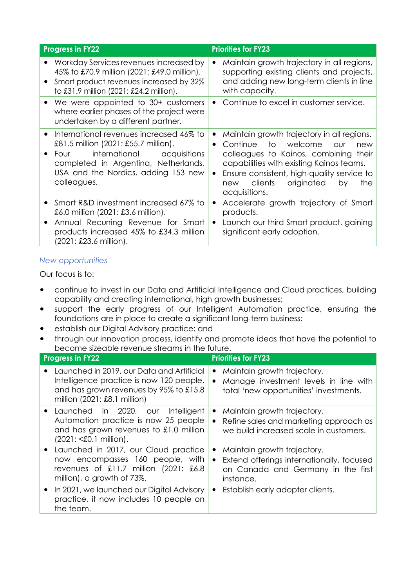| <b>Progress in FY22</b>                                                                                                                                                                                                | <b>Priorities for FY23</b>                                                                                                                                                                                                                                                                                              |
|------------------------------------------------------------------------------------------------------------------------------------------------------------------------------------------------------------------------|-------------------------------------------------------------------------------------------------------------------------------------------------------------------------------------------------------------------------------------------------------------------------------------------------------------------------|
| Workday Services revenues increased by<br>45% to £70.9 million (2021: £49.0 million).<br>Smart product revenues increased by 32%<br>to £31.9 million (2021: £24.2 million).                                            | Maintain growth trajectory in all regions,<br>$\bullet$<br>supporting existing clients and projects,<br>and adding new long-term clients in line<br>with capacity.                                                                                                                                                      |
| We were appointed to 30+ customers<br>٠<br>where earlier phases of the project were<br>undertaken by a different partner.                                                                                              | Continue to excel in customer service.                                                                                                                                                                                                                                                                                  |
| International revenues increased 46% to<br>£81.5 million (2021: £55.7 million).<br>international<br>acquisitions<br>Four<br>completed in Argentina, Netherlands,<br>USA and the Nordics, adding 153 new<br>colleagues. | Maintain growth trajectory in all regions.<br>$\bullet$<br>Continue<br>to<br>welcome<br>OUr<br>$\bullet$<br>new<br>colleagues to Kainos, combining their<br>capabilities with existing Kainos teams.<br>Ensure consistent, high-quality service to<br>$\bullet$<br>new clients originated<br>by<br>the<br>acquisitions. |
| Smart R&D investment increased 67% to<br>£6.0 million (2021: £3.6 million).<br>Annual Recurring Revenue for Smart<br>٠<br>products increased 45% to £34.3 million<br>(2021: £23.6 million).                            | Accelerate growth trajectory of Smart<br>$\bullet$<br>products.<br>Launch our third Smart product, gaining<br>$\bullet$<br>significant early adoption.                                                                                                                                                                  |

## *New opportunities*

Our focus is to:

- continue to invest in our Data and Artificial Intelligence and Cloud practices, building capability and creating international, high growth businesses;
- support the early progress of our Intelligent Automation practice, ensuring the foundations are in place to create a significant long-term business;
- establish our Digital Advisory practice; and
- through our innovation process, identify and promote ideas that have the potential to become sizeable revenue streams in the future.

| <b>Progress in FY22</b>                                                                                                                                                                             | <b>Priorities for FY23</b>                                                                                                                            |
|-----------------------------------------------------------------------------------------------------------------------------------------------------------------------------------------------------|-------------------------------------------------------------------------------------------------------------------------------------------------------|
| Launched in 2019, our Data and Artificial<br>$\bullet$<br>Intelligence practice is now 120 people,<br>and has grown revenues by 95% to £15.8<br>million $(2021: \text{\pounds}8.1 \text{ million})$ | Maintain growth trajectory.<br>$\bullet$<br>Manage investment levels in line with<br>$\bullet$<br>total 'new opportunities' investments.              |
| Launched in 2020, our<br>Intelligent<br>$\bullet$<br>Automation practice is now 25 people<br>and has grown revenues to £1.0 million<br>(2021: <£0.1 million).                                       | Maintain growth trajectory.<br>٠<br>Refine sales and marketing approach as<br>$\bullet$<br>we build increased scale in customers.                     |
| Launched in 2017, our Cloud practice<br>now encompasses 160 people, with<br>revenues of £11.7 million $(2021: £6.8)$<br>million), a growth of 73%.                                                  | Maintain growth trajectory.<br>$\bullet$<br>Extend offerings internationally, focused<br>$\bullet$<br>on Canada and Germany in the first<br>instance. |
| In 2021, we launched our Digital Advisory<br>$\bullet$<br>practice, it now includes 10 people on<br>the team.                                                                                       | Establish early adopter clients.<br>$\bullet$                                                                                                         |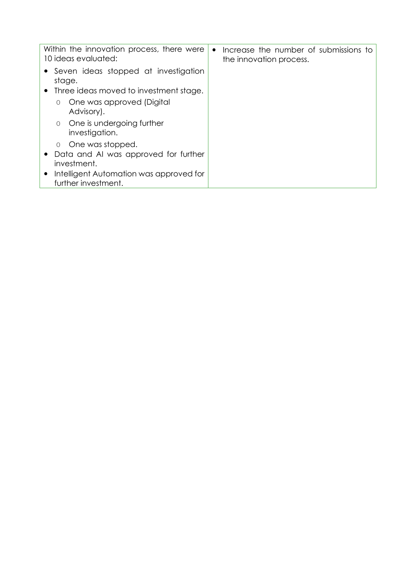|          | Within the innovation process, there were<br>10 ideas evaluated: | $\bullet$ | Increase the number of submissions to<br>the innovation process. |
|----------|------------------------------------------------------------------|-----------|------------------------------------------------------------------|
|          | • Seven ideas stopped at investigation<br>stage.                 |           |                                                                  |
|          | • Three ideas moved to investment stage.                         |           |                                                                  |
| $\Omega$ | One was approved (Digital<br>Advisory).                          |           |                                                                  |
| $\circ$  | One is undergoing further<br>investigation.                      |           |                                                                  |
| $\Omega$ | One was stopped.                                                 |           |                                                                  |
|          | • Data and AI was approved for further<br>investment.            |           |                                                                  |
|          | Intelligent Automation was approved for<br>further investment.   |           |                                                                  |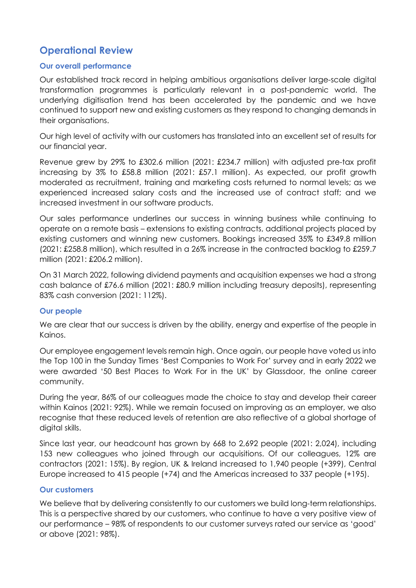# **Operational Review**

#### **Our overall performance**

Our established track record in helping ambitious organisations deliver large-scale digital transformation programmes is particularly relevant in a post-pandemic world. The underlying digitisation trend has been accelerated by the pandemic and we have continued to support new and existing customers as they respond to changing demands in their organisations.

Our high level of activity with our customers has translated into an excellent set of results for our financial year.

Revenue grew by 29% to £302.6 million (2021: £234.7 million) with adjusted pre-tax profit increasing by 3% to £58.8 million (2021: £57.1 million). As expected, our profit growth moderated as recruitment, training and marketing costs returned to normal levels; as we experienced increased salary costs and the increased use of contract staff; and we increased investment in our software products.

Our sales performance underlines our success in winning business while continuing to operate on a remote basis – extensions to existing contracts, additional projects placed by existing customers and winning new customers. Bookings increased 35% to £349.8 million (2021: £258.8 million), which resulted in a 26% increase in the contracted backlog to £259.7 million (2021: £206.2 million).

On 31 March 2022, following dividend payments and acquisition expenses we had a strong cash balance of £76.6 million (2021: £80.9 million including treasury deposits), representing 83% cash conversion (2021: 112%).

## **Our people**

We are clear that our success is driven by the ability, energy and expertise of the people in Kainos.

Our employee engagement levels remain high. Once again, our people have voted us into the Top 100 in the Sunday Times 'Best Companies to Work For' survey and in early 2022 we were awarded '50 Best Places to Work For in the UK' by Glassdoor, the online career community.

During the year, 86% of our colleagues made the choice to stay and develop their career within Kainos (2021: 92%). While we remain focused on improving as an employer, we also recognise that these reduced levels of retention are also reflective of a global shortage of digital skills.

Since last year, our headcount has grown by 668 to 2,692 people (2021: 2,024), including 153 new colleagues who joined through our acquisitions. Of our colleagues, 12% are contractors (2021: 15%). By region, UK & Ireland increased to 1,940 people (+399), Central Europe increased to 415 people (+74) and the Americas increased to 337 people (+195).

#### **Our customers**

We believe that by delivering consistently to our customers we build long-term relationships. This is a perspective shared by our customers, who continue to have a very positive view of our performance – 98% of respondents to our customer surveys rated our service as 'good' or above (2021: 98%).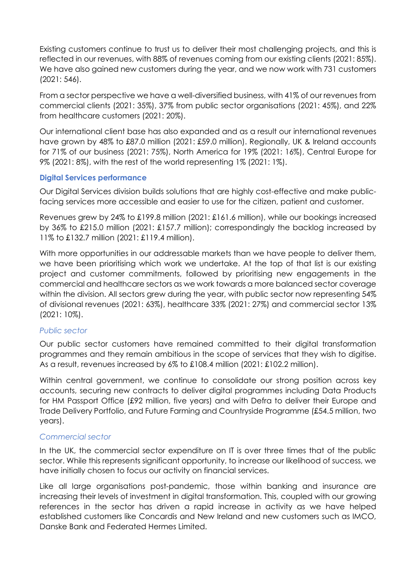Existing customers continue to trust us to deliver their most challenging projects, and this is reflected in our revenues, with 88% of revenues coming from our existing clients (2021: 85%). We have also gained new customers during the year, and we now work with 731 customers (2021: 546).

From a sector perspective we have a well-diversified business, with 41% of our revenues from commercial clients (2021: 35%), 37% from public sector organisations (2021: 45%), and 22% from healthcare customers (2021: 20%).

Our international client base has also expanded and as a result our international revenues have grown by 48% to £87.0 million (2021: £59.0 million). Regionally, UK & Ireland accounts for 71% of our business (2021: 75%), North America for 19% (2021: 16%), Central Europe for 9% (2021: 8%), with the rest of the world representing 1% (2021: 1%).

#### **Digital Services performance**

Our Digital Services division builds solutions that are highly cost-effective and make publicfacing services more accessible and easier to use for the citizen, patient and customer.

Revenues grew by 24% to £199.8 million (2021: £161.6 million), while our bookings increased by 36% to £215.0 million (2021: £157.7 million); correspondingly the backlog increased by 11% to £132.7 million (2021: £119.4 million).

With more opportunities in our addressable markets than we have people to deliver them, we have been prioritising which work we undertake. At the top of that list is our existing project and customer commitments, followed by prioritising new engagements in the commercial and healthcare sectors as we work towards a more balanced sector coverage within the division. All sectors grew during the year, with public sector now representing 54% of divisional revenues (2021: 63%), healthcare 33% (2021: 27%) and commercial sector 13% (2021: 10%).

#### *Public sector*

Our public sector customers have remained committed to their digital transformation programmes and they remain ambitious in the scope of services that they wish to digitise. As a result, revenues increased by 6% to £108.4 million (2021: £102.2 million).

Within central government, we continue to consolidate our strong position across key accounts, securing new contracts to deliver digital programmes including Data Products for HM Passport Office (£92 million, five years) and with Defra to deliver their Europe and Trade Delivery Portfolio, and Future Farming and Countryside Programme (£54.5 million, two years).

## *Commercial sector*

In the UK, the commercial sector expenditure on IT is over three times that of the public sector. While this represents significant opportunity, to increase our likelihood of success, we have initially chosen to focus our activity on financial services.

Like all large organisations post-pandemic, those within banking and insurance are increasing their levels of investment in digital transformation. This, coupled with our growing references in the sector has driven a rapid increase in activity as we have helped established customers like Concardis and New Ireland and new customers such as IMCO, Danske Bank and Federated Hermes Limited.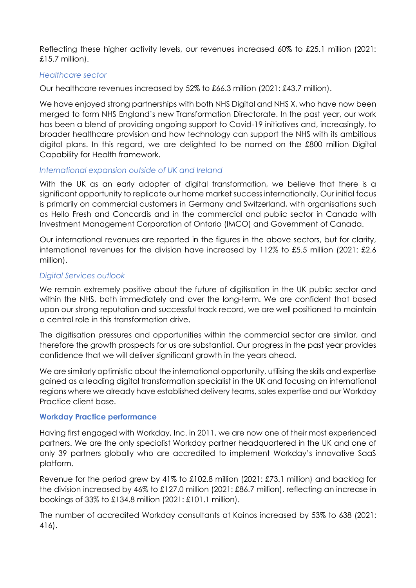Reflecting these higher activity levels, our revenues increased 60% to £25.1 million (2021: £15.7 million).

#### *Healthcare sector*

Our healthcare revenues increased by 52% to £66.3 million (2021: £43.7 million).

We have enjoyed strong partnerships with both NHS Digital and NHS X, who have now been merged to form NHS England's new Transformation Directorate. In the past year, our work has been a blend of providing ongoing support to Covid-19 initiatives and, increasingly, to broader healthcare provision and how technology can support the NHS with its ambitious digital plans. In this regard, we are delighted to be named on the £800 million Digital Capability for Health framework.

#### *International expansion outside of UK and Ireland*

With the UK as an early adopter of digital transformation, we believe that there is a significant opportunity to replicate our home market success internationally. Our initial focus is primarily on commercial customers in Germany and Switzerland, with organisations such as Hello Fresh and Concardis and in the commercial and public sector in Canada with Investment Management Corporation of Ontario (IMCO) and Government of Canada.

Our international revenues are reported in the figures in the above sectors, but for clarity, international revenues for the division have increased by 112% to £5.5 million (2021: £2.6 million).

#### *Digital Services outlook*

We remain extremely positive about the future of digitisation in the UK public sector and within the NHS, both immediately and over the long-term. We are confident that based upon our strong reputation and successful track record, we are well positioned to maintain a central role in this transformation drive.

The digitisation pressures and opportunities within the commercial sector are similar, and therefore the growth prospects for us are substantial. Our progress in the past year provides confidence that we will deliver significant growth in the years ahead.

We are similarly optimistic about the international opportunity, utilising the skills and expertise gained as a leading digital transformation specialist in the UK and focusing on international regions where we already have established delivery teams, sales expertise and our Workday Practice client base.

#### **Workday Practice performance**

Having first engaged with Workday, Inc. in 2011, we are now one of their most experienced partners. We are the only specialist Workday partner headquartered in the UK and one of only 39 partners globally who are accredited to implement Workday's innovative SaaS platform.

Revenue for the period grew by 41% to £102.8 million (2021: £73.1 million) and backlog for the division increased by 46% to £127.0 million (2021: £86.7 million), reflecting an increase in bookings of 33% to £134.8 million (2021: £101.1 million).

The number of accredited Workday consultants at Kainos increased by 53% to 638 (2021: 416).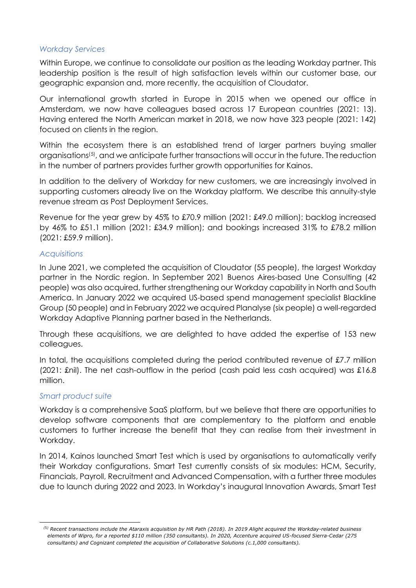#### *Workday Services*

Within Europe, we continue to consolidate our position as the leading Workday partner. This leadership position is the result of high satisfaction levels within our customer base, our geographic expansion and, more recently, the acquisition of Cloudator.

Our international growth started in Europe in 2015 when we opened our office in Amsterdam, we now have colleagues based across 17 European countries (2021: 13). Having entered the North American market in 2018, we now have 323 people (2021: 142) focused on clients in the region.

Within the ecosystem there is an established trend of larger partners buying smaller organisations([5\)](#page-17-0) , and we anticipate further transactions will occur in the future. The reduction in the number of partners provides further growth opportunities for Kainos.

In addition to the delivery of Workday for new customers, we are increasingly involved in supporting customers already live on the Workday platform. We describe this annuity-style revenue stream as Post Deployment Services.

Revenue for the year grew by 45% to £70.9 million (2021: £49.0 million); backlog increased by 46% to £51.1 million (2021: £34.9 million); and bookings increased 31% to £78.2 million (2021: £59.9 million).

#### *Acquisitions*

In June 2021, we completed the acquisition of Cloudator (55 people), the largest Workday partner in the Nordic region. In September 2021 Buenos Aires-based Une Consulting (42 people) was also acquired, further strengthening our Workday capability in North and South America. In January 2022 we acquired US-based spend management specialist Blackline Group (50 people) and in February 2022 we acquired Planalyse (six people) a well-regarded Workday Adaptive Planning partner based in the Netherlands.

Through these acquisitions, we are delighted to have added the expertise of 153 new colleagues.

In total, the acquisitions completed during the period contributed revenue of £7.7 million (2021: £nil). The net cash-outflow in the period (cash paid less cash acquired) was £16.8 million.

## *Smart product suite*

Workday is a comprehensive SaaS platform, but we believe that there are opportunities to develop software components that are complementary to the platform and enable customers to further increase the benefit that they can realise from their investment in Workday.

In 2014, Kainos launched Smart Test which is used by organisations to automatically verify their Workday configurations. Smart Test currently consists of six modules: HCM, Security, Financials, Payroll, Recruitment and Advanced Compensation, with a further three modules due to launch during 2022 and 2023. In Workday's inaugural Innovation Awards, Smart Test

<span id="page-17-0"></span>*<sup>(</sup>*5*) Recent transactions include the Ataraxis acquisition by HR Path (2018). In 2019 Alight acquired the Workday-related business elements of Wipro, for a reported \$110 million (350 consultants). In 2020, Accenture acquired US-focused Sierra-Cedar (275 consultants) and Cognizant completed the acquisition of Collaborative Solutions (c.1,000 consultants).*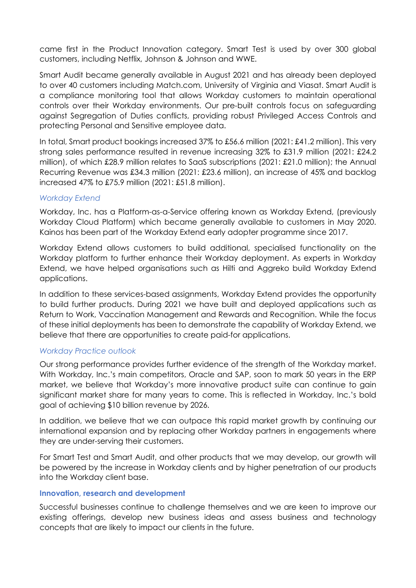came first in the Product Innovation category. Smart Test is used by over 300 global customers, including Netflix, Johnson & Johnson and WWE.

Smart Audit became generally available in August 2021 and has already been deployed to over 40 customers including Match.com, University of Virginia and Viasat. Smart Audit is a compliance monitoring tool that allows Workday customers to maintain operational controls over their Workday environments. Our pre-built controls focus on safeguarding against Segregation of Duties conflicts, providing robust Privileged Access Controls and protecting Personal and Sensitive employee data.

In total, Smart product bookings increased 37% to £56.6 million (2021: £41.2 million). This very strong sales performance resulted in revenue increasing 32% to £31.9 million (2021: £24.2 million), of which £28.9 million relates to SaaS subscriptions (2021: £21.0 million); the Annual Recurring Revenue was £34.3 million (2021: £23.6 million), an increase of 45% and backlog increased 47% to £75.9 million (2021: £51.8 million).

## *Workday Extend*

Workday, Inc. has a Platform-as-a-Service offering known as Workday Extend, (previously Workday Cloud Platform) which became generally available to customers in May 2020. Kainos has been part of the Workday Extend early adopter programme since 2017.

Workday Extend allows customers to build additional, specialised functionality on the Workday platform to further enhance their Workday deployment. As experts in Workday Extend, we have helped organisations such as Hilti and Aggreko build Workday Extend applications.

In addition to these services-based assignments, Workday Extend provides the opportunity to build further products. During 2021 we have built and deployed applications such as Return to Work, Vaccination Management and Rewards and Recognition. While the focus of these initial deployments has been to demonstrate the capability of Workday Extend, we believe that there are opportunities to create paid-for applications.

## *Workday Practice outlook*

Our strong performance provides further evidence of the strength of the Workday market. With Workday, Inc.'s main competitors, Oracle and SAP, soon to mark 50 years in the ERP market, we believe that Workday's more innovative product suite can continue to gain significant market share for many years to come. This is reflected in Workday, Inc.'s bold goal of achieving \$10 billion revenue by 2026.

In addition, we believe that we can outpace this rapid market growth by continuing our international expansion and by replacing other Workday partners in engagements where they are under-serving their customers.

For Smart Test and Smart Audit, and other products that we may develop, our growth will be powered by the increase in Workday clients and by higher penetration of our products into the Workday client base.

## **Innovation, research and development**

Successful businesses continue to challenge themselves and we are keen to improve our existing offerings, develop new business ideas and assess business and technology concepts that are likely to impact our clients in the future.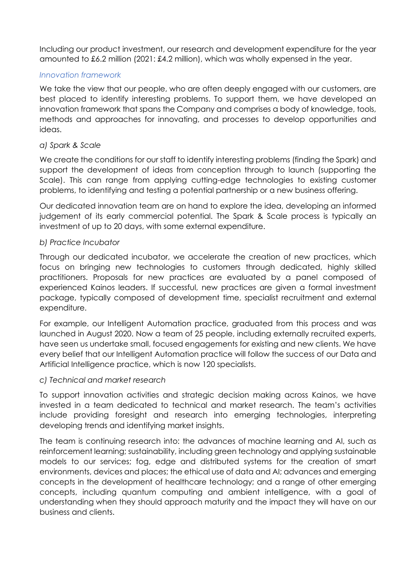Including our product investment, our research and development expenditure for the year amounted to £6.2 million (2021: £4.2 million), which was wholly expensed in the year.

# *Innovation framework*

We take the view that our people, who are often deeply engaged with our customers, are best placed to identify interesting problems. To support them, we have developed an innovation framework that spans the Company and comprises a body of knowledge, tools, methods and approaches for innovating, and processes to develop opportunities and ideas.

## *a) Spark & Scale*

We create the conditions for our staff to identify interesting problems (finding the Spark) and support the development of ideas from conception through to launch (supporting the Scale). This can range from applying cutting-edge technologies to existing customer problems, to identifying and testing a potential partnership or a new business offering.

Our dedicated innovation team are on hand to explore the idea, developing an informed judgement of its early commercial potential. The Spark & Scale process is typically an investment of up to 20 days, with some external expenditure.

## *b) Practice Incubator*

Through our dedicated incubator, we accelerate the creation of new practices, which focus on bringing new technologies to customers through dedicated, highly skilled practitioners. Proposals for new practices are evaluated by a panel composed of experienced Kainos leaders. If successful, new practices are given a formal investment package, typically composed of development time, specialist recruitment and external expenditure.

For example, our Intelligent Automation practice, graduated from this process and was launched in August 2020. Now a team of 25 people, including externally recruited experts, have seen us undertake small, focused engagements for existing and new clients. We have every belief that our Intelligent Automation practice will follow the success of our Data and Artificial Intelligence practice, which is now 120 specialists.

## *c) Technical and market research*

To support innovation activities and strategic decision making across Kainos, we have invested in a team dedicated to technical and market research. The team's activities include providing foresight and research into emerging technologies, interpreting developing trends and identifying market insights.

The team is continuing research into: the advances of machine learning and AI, such as reinforcement learning; sustainability, including green technology and applying sustainable models to our services; fog, edge and distributed systems for the creation of smart environments, devices and places; the ethical use of data and AI; advances and emerging concepts in the development of healthcare technology; and a range of other emerging concepts, including quantum computing and ambient intelligence, with a goal of understanding when they should approach maturity and the impact they will have on our business and clients.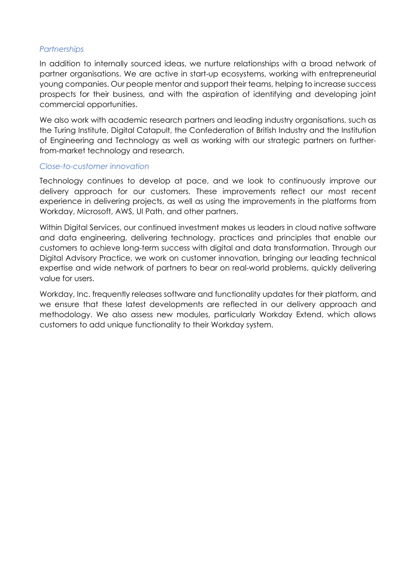#### *Partnerships*

In addition to internally sourced ideas, we nurture relationships with a broad network of partner organisations. We are active in start-up ecosystems, working with entrepreneurial young companies. Our people mentor and support their teams, helping to increase success prospects for their business, and with the aspiration of identifying and developing joint commercial opportunities.

We also work with academic research partners and leading industry organisations, such as the Turing Institute, Digital Catapult, the Confederation of British Industry and the Institution of Engineering and Technology as well as working with our strategic partners on furtherfrom-market technology and research.

#### *Close-to-customer innovation*

Technology continues to develop at pace, and we look to continuously improve our delivery approach for our customers. These improvements reflect our most recent experience in delivering projects, as well as using the improvements in the platforms from Workday, Microsoft, AWS, UI Path, and other partners.

Within Digital Services, our continued investment makes us leaders in cloud native software and data engineering, delivering technology, practices and principles that enable our customers to achieve long-term success with digital and data transformation. Through our Digital Advisory Practice, we work on customer innovation, bringing our leading technical expertise and wide network of partners to bear on real-world problems, quickly delivering value for users.

Workday, Inc. frequently releases software and functionality updates for their platform, and we ensure that these latest developments are reflected in our delivery approach and methodology. We also assess new modules, particularly Workday Extend, which allows customers to add unique functionality to their Workday system.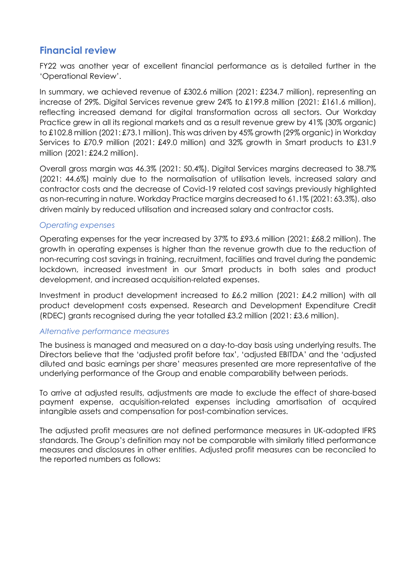# **Financial review**

FY22 was another year of excellent financial performance as is detailed further in the 'Operational Review'.

In summary, we achieved revenue of £302.6 million (2021: £234.7 million), representing an increase of 29%. Digital Services revenue grew 24% to £199.8 million (2021: £161.6 million), reflecting increased demand for digital transformation across all sectors. Our Workday Practice grew in all its regional markets and as a result revenue grew by 41% (30% organic) to £102.8 million (2021: £73.1 million). This was driven by 45% growth (29% organic) in Workday Services to £70.9 million (2021: £49.0 million) and 32% arowth in Smart products to £31.9 million (2021: £24.2 million).

Overall gross margin was 46.3% (2021: 50.4%). Digital Services margins decreased to 38.7% (2021: 44.6%) mainly due to the normalisation of utilisation levels, increased salary and contractor costs and the decrease of Covid-19 related cost savings previously highlighted as non-recurring in nature. Workday Practice margins decreased to 61.1% (2021: 63.3%), also driven mainly by reduced utilisation and increased salary and contractor costs.

## *Operating expenses*

Operating expenses for the year increased by 37% to £93.6 million (2021: £68.2 million). The growth in operating expenses is higher than the revenue growth due to the reduction of non-recurring cost savings in training, recruitment, facilities and travel during the pandemic lockdown, increased investment in our Smart products in both sales and product development, and increased acquisition-related expenses.

Investment in product development increased to £6.2 million (2021: £4.2 million) with all product development costs expensed. Research and Development Expenditure Credit (RDEC) grants recognised during the year totalled £3.2 million (2021: £3.6 million).

## *Alternative performance measures*

The business is managed and measured on a day-to-day basis using underlying results. The Directors believe that the 'adjusted profit before tax', 'adjusted EBITDA' and the 'adjusted diluted and basic earnings per share' measures presented are more representative of the underlying performance of the Group and enable comparability between periods.

To arrive at adjusted results, adjustments are made to exclude the effect of share-based payment expense, acquisition-related expenses including amortisation of acquired intangible assets and compensation for post-combination services.

The adjusted profit measures are not defined performance measures in UK-adopted IFRS standards. The Group's definition may not be comparable with similarly titled performance measures and disclosures in other entities. Adjusted profit measures can be reconciled to the reported numbers as follows: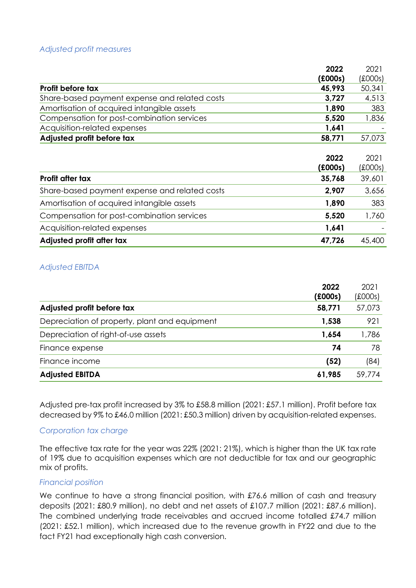#### *Adjusted profit measures*

| 2022                                                   | 2021        |
|--------------------------------------------------------|-------------|
| f(000s)                                                | (£000s)     |
| 45,993<br>Profit before tax                            | 50,341      |
| Share-based payment expense and related costs<br>3,727 | 4,513       |
| Amortisation of acquired intangible assets<br>1,890    | 383         |
| Compensation for post-combination services<br>5,520    | 1,836       |
| Acquisition-related expenses<br>1,641                  |             |
| Adjusted profit before tax<br>58,771                   | 57,073      |
|                                                        |             |
| 2022                                                   | 2021        |
| f(000s)                                                | $f$ (£000s) |
| Profit after tax<br>35,768                             | 39,601      |
| Share-based payment expense and related costs<br>2,907 | 3,656       |
| 1,890<br>Amortisation of acquired intangible assets    | 383         |
| Compensation for post-combination services<br>5,520    | 1,760       |
| Acquisition-related expenses<br>1,641                  |             |
| Adjusted profit after tax<br>47,726                    | 45,400      |

#### *Adjusted EBITDA*

| 2022                                                   | 2021        |
|--------------------------------------------------------|-------------|
| (£000s)                                                | $f$ (£000s) |
| Adjusted profit before tax<br>58,771                   | 57,073      |
| Depreciation of property, plant and equipment<br>1,538 | 921         |
| Depreciation of right-of-use assets<br>1,654           | 1,786       |
| Finance expense                                        | 78<br>74    |
| Finance income<br>(52)                                 | (84)        |
| <b>Adjusted EBITDA</b><br>61,985                       | 59,774      |

Adjusted pre-tax profit increased by 3% to £58.8 million (2021: £57.1 million). Profit before tax decreased by 9% to £46.0 million (2021: £50.3 million) driven by acquisition-related expenses.

#### *Corporation tax charge*

The effective tax rate for the year was 22% (2021: 21%), which is higher than the UK tax rate of 19% due to acquisition expenses which are not deductible for tax and our geographic mix of profits.

#### *Financial position*

We continue to have a strong financial position, with £76.6 million of cash and treasury deposits (2021: £80.9 million), no debt and net assets of £107.7 million (2021: £87.6 million). The combined underlying trade receivables and accrued income totalled £74.7 million (2021: £52.1 million), which increased due to the revenue growth in FY22 and due to the fact FY21 had exceptionally high cash conversion.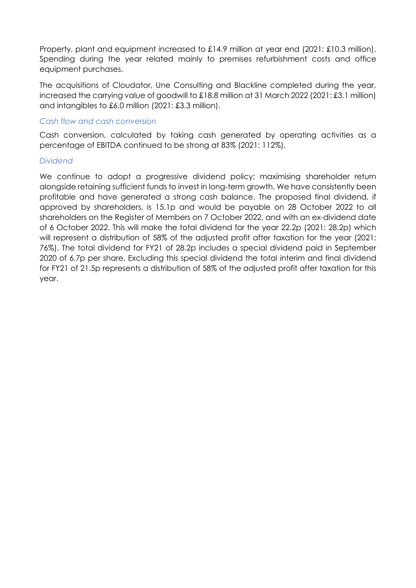Property, plant and equipment increased to £14.9 million at year end (2021: £10.3 million). Spending during the year related mainly to premises refurbishment costs and office equipment purchases.

The acquisitions of Cloudator, Une Consulting and Blackline completed during the year, increased the carrying value of goodwill to £18.8 million at 31 March 2022 (2021: £3.1 million) and intangibles to £6.0 million (2021: £3.3 million).

#### *Cash flow and cash conversion*

Cash conversion, calculated by taking cash generated by operating activities as a percentage of EBITDA continued to be strong at 83% (2021: 112%).

#### *Dividend*

We continue to adopt a progressive dividend policy; maximising shareholder return alongside retaining sufficient funds to invest in long-term growth. We have consistently been profitable and have generated a strong cash balance. The proposed final dividend, if approved by shareholders, is 15.1p and would be payable on 28 October 2022 to all shareholders on the Register of Members on 7 October 2022, and with an ex-dividend date of 6 October 2022. This will make the total dividend for the year 22.2p (2021: 28.2p) which will represent a distribution of 58% of the adjusted profit after taxation for the year (2021: 76%). The total dividend for FY21 of 28.2p includes a special dividend paid in September 2020 of 6.7p per share. Excluding this special dividend the total interim and final dividend for FY21 of 21.5p represents a distribution of 58% of the adjusted profit after taxation for this year.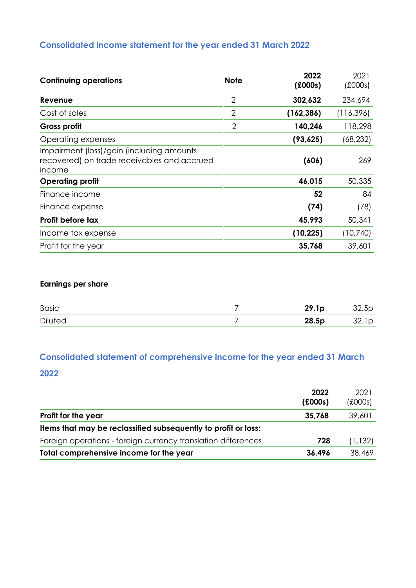# **Consolidated income statement for the year ended 31 March 2022**

| <b>Continuing operations</b>                                                                       | <b>Note</b>    | 2022<br>f(000s) | 2021<br>$f$ (£000s) |
|----------------------------------------------------------------------------------------------------|----------------|-----------------|---------------------|
| Revenue                                                                                            | $\overline{2}$ | 302,632         | 234,694             |
| Cost of sales                                                                                      | $\overline{2}$ | (162, 386)      | (116, 396)          |
| Gross profit                                                                                       | $\overline{2}$ | 140,246         | 118,298             |
| Operating expenses                                                                                 |                | (93, 625)       | (68, 232)           |
| Impairment (loss)/gain (including amounts<br>recovered) on trade receivables and accrued<br>income |                | (606)           | 269                 |
| <b>Operating profit</b>                                                                            |                | 46,015          | 50,335              |
| Finance income                                                                                     |                | 52              | 84                  |
| Finance expense                                                                                    |                | (74)            | (78)                |
| Profit before tax                                                                                  |                | 45,993          | 50,341              |
| Income tax expense                                                                                 |                | (10, 225)       | (10, 740)           |
| Profit for the year                                                                                |                | 35,768          | 39,601              |

# **Earnings per share**

| <b>Basic</b>   | 29.1 <sub>p</sub> | 32.5p |
|----------------|-------------------|-------|
| <b>Diluted</b> | 28.5p             | 32.1p |

# **Consolidated statement of comprehensive income for the year ended 31 March**

## **2022**

|                                                                | 2022              | 2021                  |
|----------------------------------------------------------------|-------------------|-----------------------|
| Profit for the year                                            | f(000s)<br>35,768 | $f$ (£000s)<br>39,601 |
| Items that may be reclassified subsequently to profit or loss: |                   |                       |
| Foreign operations - foreign currency translation differences  | 728               | (1, 132)              |
| Total comprehensive income for the year                        | 36,496            | 38,469                |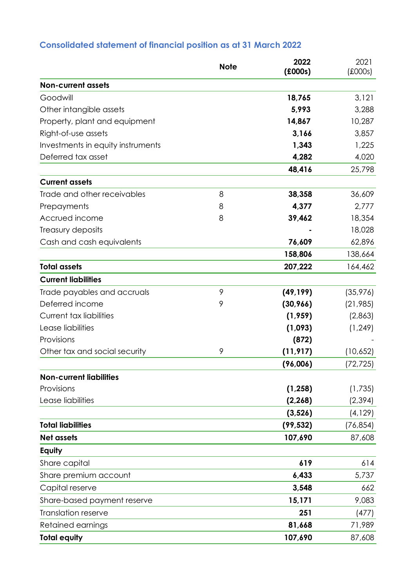# **Consolidated statement of financial position as at 31 March 2022**

|                                   | <b>Note</b> | 2022<br>f(000s) | 2021<br>$f$ (£000s) |
|-----------------------------------|-------------|-----------------|---------------------|
| <b>Non-current assets</b>         |             |                 |                     |
| Goodwill                          |             | 18,765          | 3,121               |
| Other intangible assets           |             | 5,993           | 3,288               |
| Property, plant and equipment     |             | 14,867          | 10,287              |
| Right-of-use assets               |             | 3,166           | 3,857               |
| Investments in equity instruments |             | 1,343           | 1,225               |
| Deferred tax asset                |             | 4,282           | 4,020               |
|                                   |             | 48,416          | 25,798              |
| <b>Current assets</b>             |             |                 |                     |
| Trade and other receivables       | 8           | 38,358          | 36,609              |
| Prepayments                       | 8           | 4,377           | 2,777               |
| Accrued income                    | 8           | 39,462          | 18,354              |
| Treasury deposits                 |             |                 | 18,028              |
| Cash and cash equivalents         |             | 76,609          | 62,896              |
|                                   |             | 158,806         | 138,664             |
| <b>Total assets</b>               |             | 207,222         | 164,462             |
| <b>Current liabilities</b>        |             |                 |                     |
| Trade payables and accruals       | 9           | (49, 199)       | (35, 976)           |
| Deferred income                   | 9           | (30,966)        | (21, 985)           |
| <b>Current tax liabilities</b>    |             | (1,959)         | (2,863)             |
| Lease liabilities                 |             | (1,093)         | (1, 249)            |
| Provisions                        |             | (872)           |                     |
| Other tax and social security     | 9           | (11, 917)       | (10,652)            |
|                                   |             | (96,006)        | (72, 725)           |
| <b>Non-current liabilities</b>    |             |                 |                     |
| Provisions                        |             | (1, 258)        | (1,735)             |
| Lease liabilities                 |             | (2, 268)        | (2, 394)            |
|                                   |             | (3, 526)        | (4, 129)            |
| <b>Total liabilities</b>          |             | (99, 532)       | (76, 854)           |
| <b>Net assets</b>                 |             | 107,690         | 87,608              |
| Equity                            |             |                 |                     |
| Share capital                     |             | 619             | 614                 |
| Share premium account             |             | 6,433           | 5,737               |
| Capital reserve                   |             | 3,548           | 662                 |
| Share-based payment reserve       |             | 15,171          | 9,083               |
| <b>Translation reserve</b>        |             | 251             | (477)               |
| Retained earnings                 |             | 81,668          | 71,989              |
| <b>Total equity</b>               |             | 107,690         | 87,608              |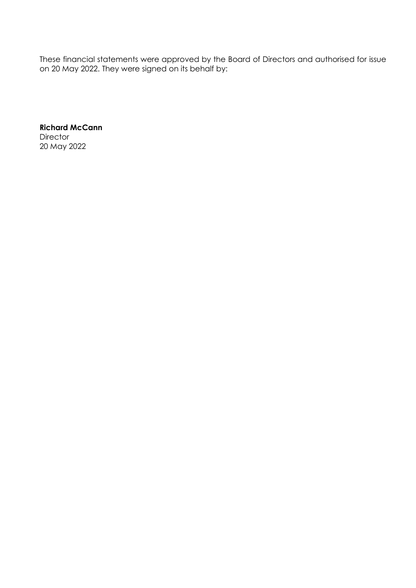These financial statements were approved by the Board of Directors and authorised for issue on 20 May 2022. They were signed on its behalf by:

**Richard McCann Director** 20 May 2022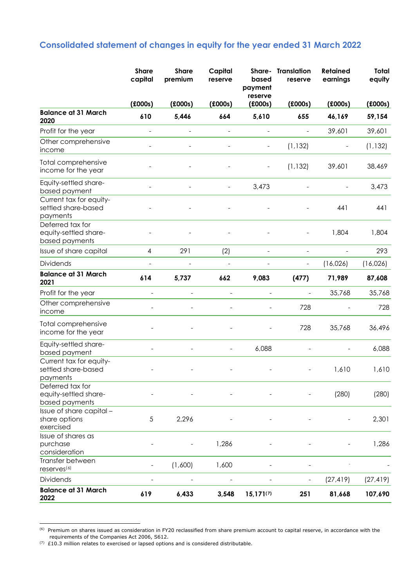# **Consolidated statement of changes in equity for the year ended 31 March 2022**

|                                                             | <b>Share</b><br>capital | <b>Share</b><br>premium | Capital<br>reserve | Share-<br>based<br>payment | <b>Translation</b><br>reserve | <b>Retained</b><br>earnings | Total<br>equity |
|-------------------------------------------------------------|-------------------------|-------------------------|--------------------|----------------------------|-------------------------------|-----------------------------|-----------------|
|                                                             | (£000s)                 | (£000s)                 | (£000s)            | reserve<br>(£000s)         | (£000s)                       | (£000s)                     | f(000s)         |
| <b>Balance at 31 March</b><br>2020                          | 610                     | 5,446                   | 664                | 5,610                      | 655                           | 46,169                      | 59,154          |
| Profit for the year                                         | $\overline{a}$          |                         | $\overline{a}$     | $\overline{a}$             |                               | 39,601                      | 39,601          |
| Other comprehensive<br>income                               |                         |                         |                    |                            | (1, 132)                      |                             | (1, 132)        |
| Total comprehensive<br>income for the year                  |                         |                         |                    |                            | (1, 132)                      | 39,601                      | 38,469          |
| Equity-settled share-<br>based payment                      |                         |                         |                    | 3,473                      |                               |                             | 3,473           |
| Current tax for equity-<br>settled share-based<br>payments  |                         |                         |                    |                            |                               | 441                         | 441             |
| Deferred tax for<br>equity-settled share-<br>based payments |                         |                         |                    |                            |                               | 1,804                       | 1,804           |
| Issue of share capital                                      | $\overline{4}$          | 291                     | (2)                | $\overline{\phantom{a}}$   | $\qquad \qquad -$             | $\qquad \qquad -$           | 293             |
| <b>Dividends</b>                                            |                         |                         |                    |                            | $\qquad \qquad -$             | (16,026)                    | (16,026)        |
| <b>Balance at 31 March</b><br>2021                          | 614                     | 5,737                   | 662                | 9,083                      | (477)                         | 71,989                      | 87,608          |
| Profit for the year                                         | $\overline{a}$          | $\overline{a}$          |                    | $\overline{a}$             |                               | 35,768                      | 35,768          |
| Other comprehensive<br>income                               |                         |                         |                    |                            | 728                           |                             | 728             |
| Total comprehensive<br>income for the year                  |                         |                         |                    |                            | 728                           | 35,768                      | 36,496          |
| Equity-settled share-<br>based payment                      |                         |                         |                    | 6,088                      |                               |                             | 6,088           |
| Current tax for equity-<br>settled share-based<br>payments  |                         |                         |                    |                            |                               | 1,610                       | 1,610           |
| Deferred tax for<br>equity-settled share-<br>based payments |                         |                         |                    |                            |                               | (280)                       | (280)           |
| Issue of share capital -<br>share options<br>exercised      | 5                       | 2,296                   |                    |                            |                               |                             | 2,301           |
| Issue of shares as<br>purchase<br>consideration             |                         |                         | 1,286              |                            |                               |                             | 1,286           |
| Transfer between<br>reserves <sup>(6)</sup>                 |                         | (1,600)                 | 1,600              |                            |                               |                             |                 |
| Dividends                                                   |                         |                         |                    |                            |                               | (27, 419)                   | (27, 419)       |
| <b>Balance at 31 March</b><br>2022                          | 619                     | 6,433                   | 3,548              | $15,171^{(7)}$             | 251                           | 81,668                      | 107,690         |

<span id="page-27-0"></span><sup>(6)</sup> Premium on shares issued as consideration in FY20 reclassified from share premium account to capital reserve, in accordance with the requirements of the Companies Act 2006, S612.

<span id="page-27-1"></span> $(7)$  £10.3 million relates to exercised or lapsed options and is considered distributable.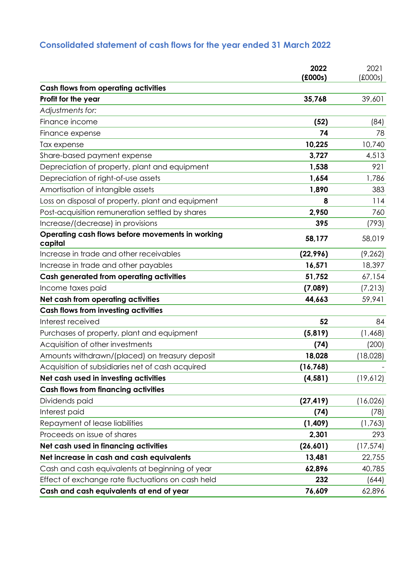# **Consolidated statement of cash flows for the year ended 31 March 2022**

|                                                             | 2022<br>(£000s) | 2021<br>(£000s) |
|-------------------------------------------------------------|-----------------|-----------------|
| <b>Cash flows from operating activities</b>                 |                 |                 |
| Profit for the year                                         | 35,768          | 39,601          |
| Adjustments for:                                            |                 |                 |
| Finance income                                              | (52)            | (84)            |
| Finance expense                                             | 74              | 78              |
| Tax expense                                                 | 10,225          | 10,740          |
| Share-based payment expense                                 | 3,727           | 4,513           |
| Depreciation of property, plant and equipment               | 1,538           | 921             |
| Depreciation of right-of-use assets                         | 1,654           | 1,786           |
| Amortisation of intangible assets                           | 1,890           | 383             |
| Loss on disposal of property, plant and equipment           | 8               | 114             |
| Post-acquisition remuneration settled by shares             | 2,950           | 760             |
| Increase/(decrease) in provisions                           | 395             | (793)           |
| Operating cash flows before movements in working<br>capital | 58,177          | 58,019          |
| Increase in trade and other receivables                     | (22, 996)       | (9, 262)        |
| Increase in trade and other payables                        | 16,571          | 18,397          |
| <b>Cash generated from operating activities</b>             | 51,752          | 67,154          |
| Income taxes paid                                           | (7,089)         | (7, 213)        |
| Net cash from operating activities                          | 44,663          | 59,941          |
| <b>Cash flows from investing activities</b>                 |                 |                 |
| Interest received                                           | 52              | 84              |
| Purchases of property, plant and equipment                  | (5,819)         | (1,468)         |
| Acquisition of other investments                            | (74)            | (200)           |
| Amounts withdrawn/(placed) on treasury deposit              | 18,028          | (18,028)        |
| Acquisition of subsidiaries net of cash acquired            | (16, 768)       |                 |
| Net cash used in investing activities                       | (4, 581)        | (19,612)        |
| <b>Cash flows from financing activities</b>                 |                 |                 |
| Dividends paid                                              | (27, 419)       | (16,026)        |
| Interest paid                                               | (74)            | (78)            |
| Repayment of lease liabilities                              | (1,409)         | (1, 763)        |
| Proceeds on issue of shares                                 | 2,301           | 293             |
| Net cash used in financing activities                       | (26, 601)       | (17, 574)       |
| Net increase in cash and cash equivalents                   | 13,481          | 22,755          |
| Cash and cash equivalents at beginning of year              | 62,896          | 40,785          |
| Effect of exchange rate fluctuations on cash held           | 232             | (644)           |
| Cash and cash equivalents at end of year                    | 76,609          | 62,896          |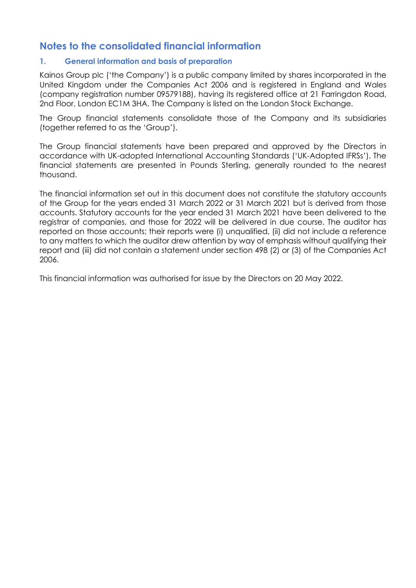# **Notes to the consolidated financial information**

## **1. General information and basis of preparation**

Kainos Group plc ('the Company') is a public company limited by shares incorporated in the United Kingdom under the Companies Act 2006 and is registered in England and Wales (company registration number 09579188), having its registered office at 21 Farringdon Road, 2nd Floor, London EC1M 3HA. The Company is listed on the London Stock Exchange.

The Group financial statements consolidate those of the Company and its subsidiaries (together referred to as the 'Group').

The Group financial statements have been prepared and approved by the Directors in accordance with UK-adopted International Accounting Standards ('UK-Adopted IFRSs'). The financial statements are presented in Pounds Sterling, generally rounded to the nearest thousand.

The financial information set out in this document does not constitute the statutory accounts of the Group for the years ended 31 March 2022 or 31 March 2021 but is derived from those accounts. Statutory accounts for the year ended 31 March 2021 have been delivered to the registrar of companies, and those for 2022 will be delivered in due course. The auditor has reported on those accounts; their reports were (i) unqualified, (ii) did not include a reference to any matters to which the auditor drew attention by way of emphasis without qualifying their report and (iii) did not contain a statement under section 498 (2) or (3) of the Companies Act 2006.

This financial information was authorised for issue by the Directors on 20 May 2022.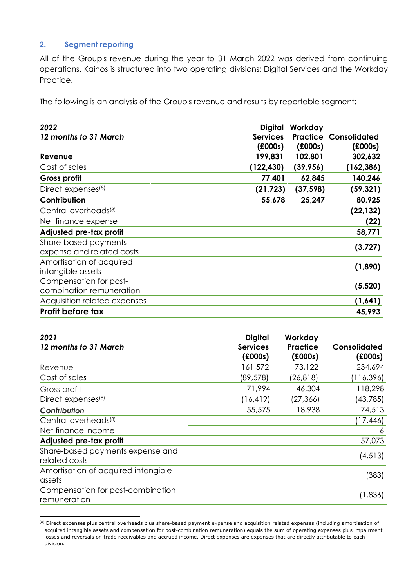# **2. Segment reporting**

All of the Group's revenue during the year to 31 March 2022 was derived from continuing operations. Kainos is structured into two operating divisions: Digital Services and the Workday Practice.

The following is an analysis of the Group's revenue and results by reportable segment:

| 2022                             | Digital         | Workday   |                              |
|----------------------------------|-----------------|-----------|------------------------------|
| 12 months to 31 March            | <b>Services</b> |           | <b>Practice Consolidated</b> |
|                                  | f(000s)         | f(000s)   | f(000s)                      |
| Revenue                          | 199,831         | 102,801   | 302,632                      |
| Cost of sales                    | (122, 430)      | (39, 956) | (162, 386)                   |
| <b>Gross profit</b>              | 77,401          | 62,845    | 140,246                      |
| Direct expenses <sup>(8)</sup>   | (21, 723)       | (37, 598) | (59, 321)                    |
| Contribution                     | 55,678          | 25,247    | 80,925                       |
| Central overheads <sup>(8)</sup> |                 |           | (22, 132)                    |
| Net finance expense              |                 |           | (22)                         |
| Adjusted pre-tax profit          |                 |           | 58,771                       |
| Share-based payments             |                 |           |                              |
| expense and related costs        |                 |           | (3, 727)                     |
| Amortisation of acquired         |                 |           |                              |
| intangible assets                |                 |           | (1,890)                      |
| Compensation for post-           |                 |           |                              |
| combination remuneration         |                 |           | (5, 520)                     |
| Acquisition related expenses     |                 |           | (1,641)                      |
| <b>Profit before tax</b>         |                 |           | 45,993                       |

| 2021<br>12 months to 31 March                     | <b>Digital</b><br><b>Services</b><br>f(000s) | Workday<br><b>Practice</b><br>(£000s) | <b>Consolidated</b><br>f(000s) |
|---------------------------------------------------|----------------------------------------------|---------------------------------------|--------------------------------|
| Revenue                                           | 161,572                                      | 73,122                                | 234,694                        |
| Cost of sales                                     | (89, 578)                                    | (26, 818)                             | (116, 396)                     |
| Gross profit                                      | 71,994                                       | 46,304                                | 118,298                        |
| Direct expenses <sup>(8)</sup>                    | (16, 419)                                    | (27,366)                              | (43, 785)                      |
| Contribution                                      | 55,575                                       | 18,938                                | 74,513                         |
| Central overheads <sup>(8)</sup>                  |                                              |                                       | (17, 446)                      |
| Net finance income                                |                                              |                                       | 6                              |
| Adjusted pre-tax profit                           |                                              |                                       | 57,073                         |
| Share-based payments expense and<br>related costs |                                              |                                       | (4, 513)                       |
| Amortisation of acquired intangible<br>assets     |                                              |                                       | (383)                          |
| Compensation for post-combination<br>remuneration |                                              |                                       | (1,836)                        |

<span id="page-30-0"></span><sup>&</sup>lt;sup>(8)</sup> Direct expenses plus central overheads plus share-based payment expense and acquisition related expenses (including amortisation of acquired intangible assets and compensation for post-combination remuneration) equals the sum of operating expenses plus impairment losses and reversals on trade receivables and accrued income. Direct expenses are expenses that are directly attributable to each division.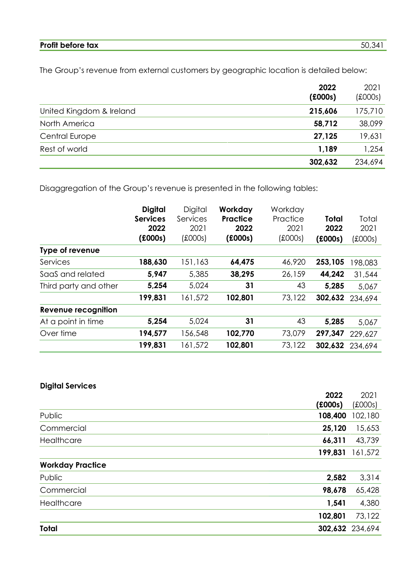# **Profit before tax** 50,341

The Group's revenue from external customers by geographic location is detailed below:

|                          | 2022<br>f(000s) | 2021<br>$f$ (£000s) |
|--------------------------|-----------------|---------------------|
| United Kingdom & Ireland | 215,606         | 175,710             |
| North America            | 58,712          | 38,099              |
| Central Europe           | 27,125          | 19,631              |
| Rest of world            | 1,189           | 1,254               |
|                          | 302,632         | 234,694             |

Disaggregation of the Group's revenue is presented in the following tables:

|                       | <b>Digital</b><br><b>Services</b><br>2022<br>f(000s) | Digital<br>Services<br>2021<br>(£000s) | Workday<br><b>Practice</b><br>2022<br>f(000s) | Workday<br>Practice<br>2021<br>(£000s) | <b>Total</b><br>2022<br>f(000s) | Total<br>2021<br>(£000s) |
|-----------------------|------------------------------------------------------|----------------------------------------|-----------------------------------------------|----------------------------------------|---------------------------------|--------------------------|
| Type of revenue       |                                                      |                                        |                                               |                                        |                                 |                          |
| Services              | 188,630                                              | 151,163                                | 64,475                                        | 46,920                                 | 253,105                         | 198,083                  |
| SaaS and related      | 5,947                                                | 5,385                                  | 38,295                                        | 26,159                                 | 44,242                          | 31,544                   |
| Third party and other | 5,254                                                | 5,024                                  | 31                                            | 43                                     | 5,285                           | 5,067                    |
|                       | 199,831                                              | 161,572                                | 102,801                                       | 73,122                                 | 302,632                         | 234,694                  |
| Revenue recognition   |                                                      |                                        |                                               |                                        |                                 |                          |
| At a point in time    | 5,254                                                | 5,024                                  | 31                                            | 43                                     | 5,285                           | 5,067                    |
| Over time             | 194,577                                              | 156,548                                | 102,770                                       | 73,079                                 | 297,347                         | 229,627                  |
|                       | 199,831                                              | 161,572                                | 102,801                                       | 73,122                                 | 302,632                         | 234,694                  |

# **Digital Services**

|                         | 2022    | 2021            |
|-------------------------|---------|-----------------|
|                         | f(000s) | $f$ (£000s)     |
| Public                  | 108,400 | 102,180         |
| Commercial              | 25,120  | 15,653          |
| Healthcare              | 66,311  | 43,739          |
|                         | 199,831 | 161,572         |
| <b>Workday Practice</b> |         |                 |
| Public                  | 2,582   | 3,314           |
| Commercial              | 98,678  | 65,428          |
| Healthcare              | 1,541   | 4,380           |
|                         | 102,801 | 73,122          |
| Total                   |         | 302,632 234,694 |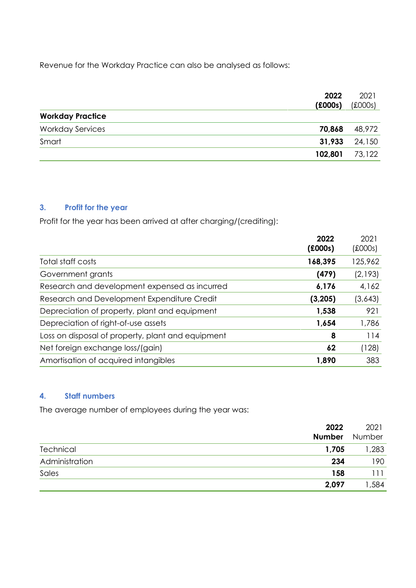Revenue for the Workday Practice can also be analysed as follows:

| 2022<br>f(000s)                   | 2021<br>$f$ (£000s) |
|-----------------------------------|---------------------|
| <b>Workday Practice</b>           |                     |
| <b>Workday Services</b><br>70,868 | 48,972              |
| 31,933<br>Smart                   | 24,150              |
| 102,801                           | 73,122              |

## **3. Profit for the year**

Profit for the year has been arrived at after charging/(crediting):

| 2022<br>(£000s)                                         | 2021<br>$f$ (£000s) |
|---------------------------------------------------------|---------------------|
| 168,395<br>Total staff costs                            | 125,962             |
| (479)<br>Government grants                              | (2,193)             |
| Research and development expensed as incurred<br>6,176  | 4,162               |
| Research and Development Expenditure Credit<br>(3, 205) | (3,643)             |
| Depreciation of property, plant and equipment<br>1,538  | 921                 |
| Depreciation of right-of-use assets<br>1,654            | 1,786               |
| Loss on disposal of property, plant and equipment<br>8  | 114                 |
| Net foreign exchange loss/(gain)<br>62                  | (128)               |
| Amortisation of acquired intangibles<br>1,890           | 383                 |

# **4. Staff numbers**

The average number of employees during the year was:

|                | 2022<br><b>Number</b> | 2021<br>Number |
|----------------|-----------------------|----------------|
| Technical      | 1,705                 | 1,283          |
| Administration | 234                   | 190            |
| Sales          | 158                   | 111            |
|                | 2,097                 | ,584           |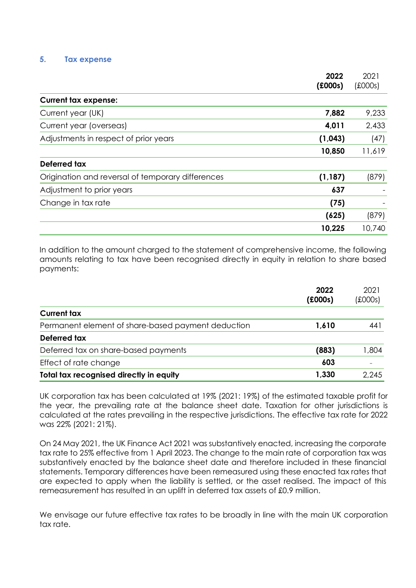#### **5. Tax expense**

|                                                   | 2022<br>(£000s) | 2021<br>$f$ (£000s) |
|---------------------------------------------------|-----------------|---------------------|
| <b>Current tax expense:</b>                       |                 |                     |
| Current year (UK)                                 | 7,882           | 9,233               |
| Current year (overseas)                           | 4,011           | 2,433               |
| Adjustments in respect of prior years             | (1,043)         | (47)                |
|                                                   | 10,850          | 11,619              |
| Deferred tax                                      |                 |                     |
| Origination and reversal of temporary differences | (1, 187)        | (879)               |
| Adjustment to prior years                         | 637             |                     |
| Change in tax rate                                | (75)            |                     |
|                                                   | (625)           | (879)               |
|                                                   | 10,225          | 10,740              |

In addition to the amount charged to the statement of comprehensive income, the following amounts relating to tax have been recognised directly in equity in relation to share based payments:

|                                                    | 2022<br>(£000s) | 2021<br>(£000s) |
|----------------------------------------------------|-----------------|-----------------|
| <b>Current tax</b>                                 |                 |                 |
| Permanent element of share-based payment deduction | 1,610           | 441             |
| Deferred tax                                       |                 |                 |
| Deferred tax on share-based payments               | (883)           | 804, ا          |
| Effect of rate change                              | 603             |                 |
| Total tax recognised directly in equity            | 1,330           | 2.245           |

UK corporation tax has been calculated at 19% (2021: 19%) of the estimated taxable profit for the year, the prevailing rate at the balance sheet date. Taxation for other jurisdictions is calculated at the rates prevailing in the respective jurisdictions. The effective tax rate for 2022 was 22% (2021: 21%).

On 24 May 2021, the UK Finance Act 2021 was substantively enacted, increasing the corporate tax rate to 25% effective from 1 April 2023. The change to the main rate of corporation tax was substantively enacted by the balance sheet date and therefore included in these financial statements. Temporary differences have been remeasured using these enacted tax rates that are expected to apply when the liability is settled, or the asset realised. The impact of this remeasurement has resulted in an uplift in deferred tax assets of £0.9 million.

We envisage our future effective tax rates to be broadly in line with the main UK corporation tax rate.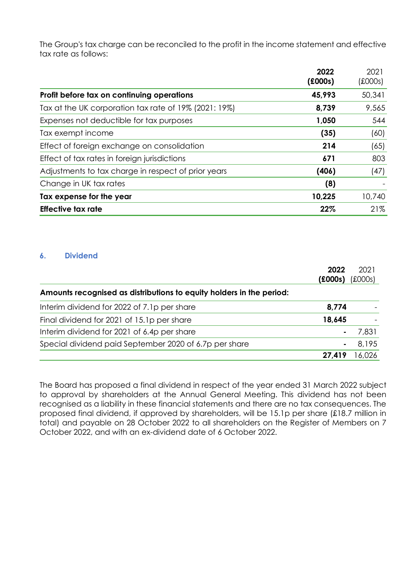The Group's tax charge can be reconciled to the profit in the income statement and effective tax rate as follows:

|                                                       | 2022<br>f(000s) | 2021<br>(£000s) |
|-------------------------------------------------------|-----------------|-----------------|
| Profit before tax on continuing operations            | 45,993          | 50,341          |
| Tax at the UK corporation tax rate of 19% (2021: 19%) | 8,739           | 9,565           |
| Expenses not deductible for tax purposes              | 1,050           | 544             |
| Tax exempt income                                     | (35)            | (60)            |
| Effect of foreign exchange on consolidation           | 214             | (65)            |
| Effect of tax rates in foreign jurisdictions          | 671             | 803             |
| Adjustments to tax charge in respect of prior years   | (406)           | (47)            |
| Change in UK tax rates                                | (8)             |                 |
| Tax expense for the year                              | 10,225          | 10,740          |
| <b>Effective tax rate</b>                             | 22%             | 21%             |

## **6. Dividend**

|                                                                      | 2022    | 2021        |
|----------------------------------------------------------------------|---------|-------------|
|                                                                      | f(000s) | $f$ (£000s) |
| Amounts recognised as distributions to equity holders in the period: |         |             |
| Interim dividend for 2022 of 7.1p per share                          | 8,774   |             |
| Final dividend for 2021 of 15.1p per share                           | 18,645  |             |
| Interim dividend for 2021 of 6.4p per share                          |         | 7,831       |
| Special dividend paid September 2020 of 6.7p per share               |         | 8.195       |
|                                                                      | 27,419  | 16,026      |

The Board has proposed a final dividend in respect of the year ended 31 March 2022 subject to approval by shareholders at the Annual General Meeting. This dividend has not been recognised as a liability in these financial statements and there are no tax consequences. The proposed final dividend, if approved by shareholders, will be 15.1p per share (£18.7 million in total) and payable on 28 October 2022 to all shareholders on the Register of Members on 7 October 2022, and with an ex-dividend date of 6 October 2022.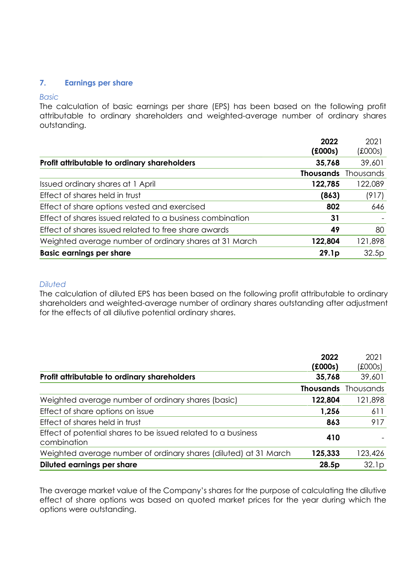#### **7. Earnings per share**

#### *Basic*

The calculation of basic earnings per share (EPS) has been based on the following profit attributable to ordinary shareholders and weighted-average number of ordinary shares outstanding.

| 2022<br>f(000s)                                                   | 2021<br>(£000s)            |
|-------------------------------------------------------------------|----------------------------|
| Profit attributable to ordinary shareholders<br>35,768            | 39,601                     |
|                                                                   | <b>Thousands</b> Thousands |
| 122,785<br>Issued ordinary shares at 1 April                      | 122,089                    |
| Effect of shares held in trust<br>(863)                           | (917)                      |
| Effect of share options vested and exercised<br>802               | 646                        |
| Effect of shares issued related to a business combination<br>31   |                            |
| Effect of shares issued related to free share awards<br>49        | 80                         |
| Weighted average number of ordinary shares at 31 March<br>122,804 | 121,898                    |
| <b>Basic earnings per share</b><br>29.1 <sub>p</sub>              | 32.5p                      |

#### *Diluted*

The calculation of diluted EPS has been based on the following profit attributable to ordinary shareholders and weighted-average number of ordinary shares outstanding after adjustment for the effects of all dilutive potential ordinary shares.

|                                                                              | 2022<br>(£000s) | 2021<br>(£000s)            |
|------------------------------------------------------------------------------|-----------------|----------------------------|
| Profit attributable to ordinary shareholders                                 | 35,768          | 39,601                     |
|                                                                              |                 | <b>Thousands</b> Thousands |
| Weighted average number of ordinary shares (basic)                           | 122,804         | 121,898                    |
| Effect of share options on issue                                             | 1,256           | 611                        |
| Effect of shares held in trust                                               | 863             | 917                        |
| Effect of potential shares to be issued related to a business<br>combination | 410             |                            |
| Weighted average number of ordinary shares (diluted) at 31 March             | 125,333         | 123,426                    |
| Diluted earnings per share                                                   | 28.5p           | 32.1p                      |

The average market value of the Company's shares for the purpose of calculating the dilutive effect of share options was based on quoted market prices for the year during which the options were outstanding.